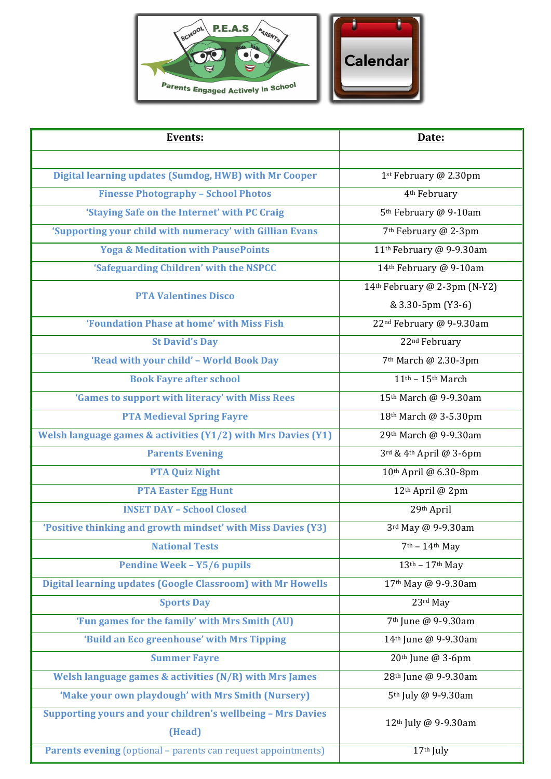

| <b>Events:</b>                                                        | Date:                                             |
|-----------------------------------------------------------------------|---------------------------------------------------|
|                                                                       |                                                   |
| Digital learning updates (Sumdog, HWB) with Mr Cooper                 | 1st February @ 2.30pm                             |
| <b>Finesse Photography - School Photos</b>                            | 4 <sup>th</sup> February                          |
| 'Staying Safe on the Internet' with PC Craig                          | 5 <sup>th</sup> February @ 9-10am                 |
| 'Supporting your child with numeracy' with Gillian Evans              | 7 <sup>th</sup> February @ 2-3pm                  |
| <b>Yoga &amp; Meditation with PausePoints</b>                         | 11 <sup>th</sup> February @ 9-9.30am              |
| 'Safeguarding Children' with the NSPCC                                | 14th February @ 9-10am                            |
| <b>PTA Valentines Disco</b>                                           | 14th February @ 2-3pm (N-Y2)<br>& 3.30-5pm (Y3-6) |
| 'Foundation Phase at home' with Miss Fish                             | 22 <sup>nd</sup> February @ 9-9.30am              |
| <b>St David's Day</b>                                                 | 22 <sup>nd</sup> February                         |
| 'Read with your child' - World Book Day                               | 7 <sup>th</sup> March @ 2.30-3pm                  |
| <b>Book Fayre after school</b>                                        | $11th - 15th March$                               |
| 'Games to support with literacy' with Miss Rees                       | 15th March @ 9-9.30am                             |
| <b>PTA Medieval Spring Fayre</b>                                      | 18th March @ 3-5.30pm                             |
| Welsh language games & activities (Y1/2) with Mrs Davies (Y1)         | 29th March @ 9-9.30am                             |
| <b>Parents Evening</b>                                                | 3rd & 4th April @ 3-6pm                           |
| <b>PTA Quiz Night</b>                                                 | 10th April @ 6.30-8pm                             |
| <b>PTA Easter Egg Hunt</b>                                            | 12th April @ 2pm                                  |
| <b>INSET DAY - School Closed</b>                                      | 29th April                                        |
| 'Positive thinking and growth mindset' with Miss Davies (Y3)          | 3rd May @ 9-9.30am                                |
| <b>National Tests</b>                                                 | $7th - 14th$ May                                  |
| <b>Pendine Week - Y5/6 pupils</b>                                     | $13th - 17th$ May                                 |
| <b>Digital learning updates (Google Classroom) with Mr Howells</b>    | 17th May @ 9-9.30am                               |
| <b>Sports Day</b>                                                     | 23rd May                                          |
| 'Fun games for the family' with Mrs Smith (AU)                        | 7 <sup>th</sup> June @ 9-9.30am                   |
| 'Build an Eco greenhouse' with Mrs Tipping                            | 14th June @ 9-9.30am                              |
| <b>Summer Fayre</b>                                                   | 20 <sup>th</sup> June @ 3-6pm                     |
| Welsh language games & activities (N/R) with Mrs James                | 28 <sup>th</sup> June @ 9-9.30am                  |
| 'Make your own playdough' with Mrs Smith (Nursery)                    | 5 <sup>th</sup> July @ 9-9.30am                   |
| Supporting yours and your children's wellbeing - Mrs Davies<br>(Head) | 12 <sup>th</sup> July @ 9-9.30am                  |
| <b>Parents evening</b> (optional - parents can request appointments)  | 17th July                                         |